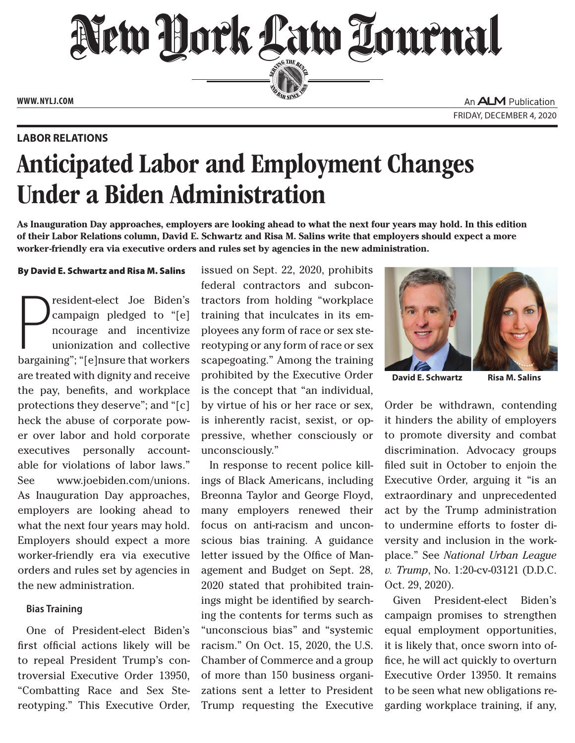

**www. NYLJ.com**

**Labor Relations**

An **ALM** Publication Friday, December 4, 2020

# Anticipated Labor and Employment Changes Under a Biden Administration

**As Inauguration Day approaches, employers are looking ahead to what the next four years may hold. In this edition of their Labor Relations column, David E. Schwartz and Risa M. Salins write that employers should expect a more worker-friendly era via executive orders and rules set by agencies in the new administration.**

#### By David E. Schwartz and Risa M. Salins

 $\sum_{\text{barpair}}$ resident-elect Joe Biden's campaign pledged to "[e] ncourage and incentivize unionization and collective bargaining"; "[e]nsure that workers are treated with dignity and receive the pay, benefits, and workplace protections they deserve"; and "[c] heck the abuse of corporate power over labor and hold corporate executives personally accountable for violations of labor laws." See www.joebiden.com/unions. As Inauguration Day approaches, employers are looking ahead to what the next four years may hold. Employers should expect a more worker-friendly era via executive orders and rules set by agencies in the new administration.

### **Bias Training**

One of President-elect Biden's first official actions likely will be to repeal President Trump's controversial Executive Order 13950, "Combatting Race and Sex Stereotyping." This Executive Order, issued on Sept. 22, 2020, prohibits federal contractors and subcontractors from holding "workplace training that inculcates in its employees any form of race or sex stereotyping or any form of race or sex scapegoating." Among the training prohibited by the Executive Order is the concept that "an individual, by virtue of his or her race or sex, is inherently racist, sexist, or oppressive, whether consciously or unconsciously."

In response to recent police killings of Black Americans, including Breonna Taylor and George Floyd, many employers renewed their focus on anti-racism and unconscious bias training. A guidance letter issued by the Office of Management and Budget on Sept. 28, 2020 stated that prohibited trainings might be identified by searching the contents for terms such as "unconscious bias" and "systemic racism." On Oct. 15, 2020, the U.S. Chamber of Commerce and a group of more than 150 business organizations sent a letter to President Trump requesting the Executive



**David E. Schwartz Risa M. Salins**

Order be withdrawn, contending it hinders the ability of employers to promote diversity and combat discrimination. Advocacy groups filed suit in October to enjoin the Executive Order, arguing it "is an extraordinary and unprecedented act by the Trump administration to undermine efforts to foster diversity and inclusion in the workplace." See *National Urban League v. Trump*, No. 1:20-cv-03121 (D.D.C. Oct. 29, 2020).

Given President-elect Biden's campaign promises to strengthen equal employment opportunities, it is likely that, once sworn into office, he will act quickly to overturn Executive Order 13950. It remains to be seen what new obligations regarding workplace training, if any,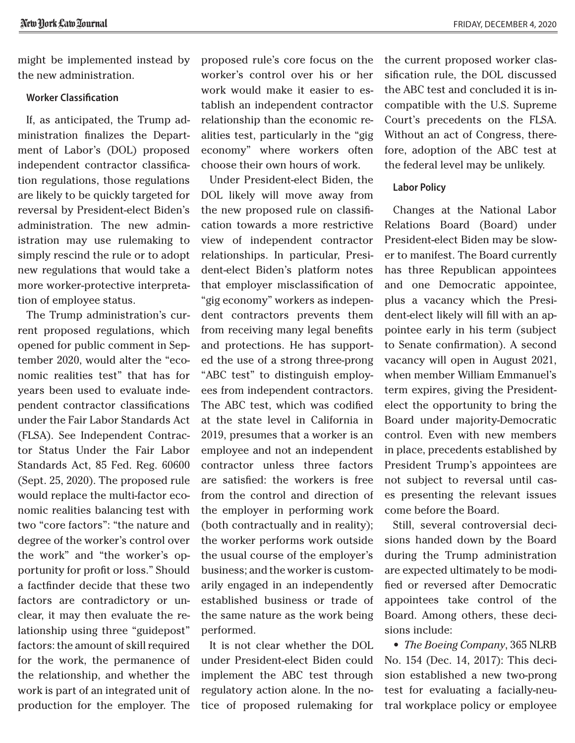might be implemented instead by the new administration.

## **Worker Classification**

If, as anticipated, the Trump administration finalizes the Department of Labor's (DOL) proposed independent contractor classification regulations, those regulations are likely to be quickly targeted for reversal by President-elect Biden's administration. The new administration may use rulemaking to simply rescind the rule or to adopt new regulations that would take a more worker-protective interpretation of employee status.

The Trump administration's current proposed regulations, which opened for public comment in September 2020, would alter the "economic realities test" that has for years been used to evaluate independent contractor classifications under the Fair Labor Standards Act (FLSA). See Independent Contractor Status Under the Fair Labor Standards Act, 85 Fed. Reg. 60600 (Sept. 25, 2020). The proposed rule would replace the multi-factor economic realities balancing test with two "core factors": "the nature and degree of the worker's control over the work" and "the worker's opportunity for profit or loss." Should a factfinder decide that these two factors are contradictory or unclear, it may then evaluate the relationship using three "guidepost" factors: the amount of skill required for the work, the permanence of the relationship, and whether the work is part of an integrated unit of production for the employer. The proposed rule's core focus on the worker's control over his or her work would make it easier to establish an independent contractor relationship than the economic realities test, particularly in the "gig economy" where workers often choose their own hours of work.

Under President-elect Biden, the DOL likely will move away from the new proposed rule on classification towards a more restrictive view of independent contractor relationships. In particular, President-elect Biden's platform notes that employer misclassification of "gig economy" workers as independent contractors prevents them from receiving many legal benefits and protections. He has supported the use of a strong three-prong "ABC test" to distinguish employees from independent contractors. The ABC test, which was codified at the state level in California in 2019, presumes that a worker is an employee and not an independent contractor unless three factors are satisfied: the workers is free from the control and direction of the employer in performing work (both contractually and in reality); the worker performs work outside the usual course of the employer's business; and the worker is customarily engaged in an independently established business or trade of the same nature as the work being performed.

It is not clear whether the DOL under President-elect Biden could implement the ABC test through regulatory action alone. In the notice of proposed rulemaking for the current proposed worker classification rule, the DOL discussed the ABC test and concluded it is incompatible with the U.S. Supreme Court's precedents on the FLSA. Without an act of Congress, therefore, adoption of the ABC test at the federal level may be unlikely.

#### **Labor Policy**

Changes at the National Labor Relations Board (Board) under President-elect Biden may be slower to manifest. The Board currently has three Republican appointees and one Democratic appointee, plus a vacancy which the President-elect likely will fill with an appointee early in his term (subject to Senate confirmation). A second vacancy will open in August 2021, when member William Emmanuel's term expires, giving the Presidentelect the opportunity to bring the Board under majority-Democratic control. Even with new members in place, precedents established by President Trump's appointees are not subject to reversal until cases presenting the relevant issues come before the Board.

Still, several controversial decisions handed down by the Board during the Trump administration are expected ultimately to be modified or reversed after Democratic appointees take control of the Board. Among others, these decisions include:

*• The Boeing Company*, 365 NLRB No. 154 (Dec. 14, 2017): This decision established a new two-prong test for evaluating a facially-neutral workplace policy or employee